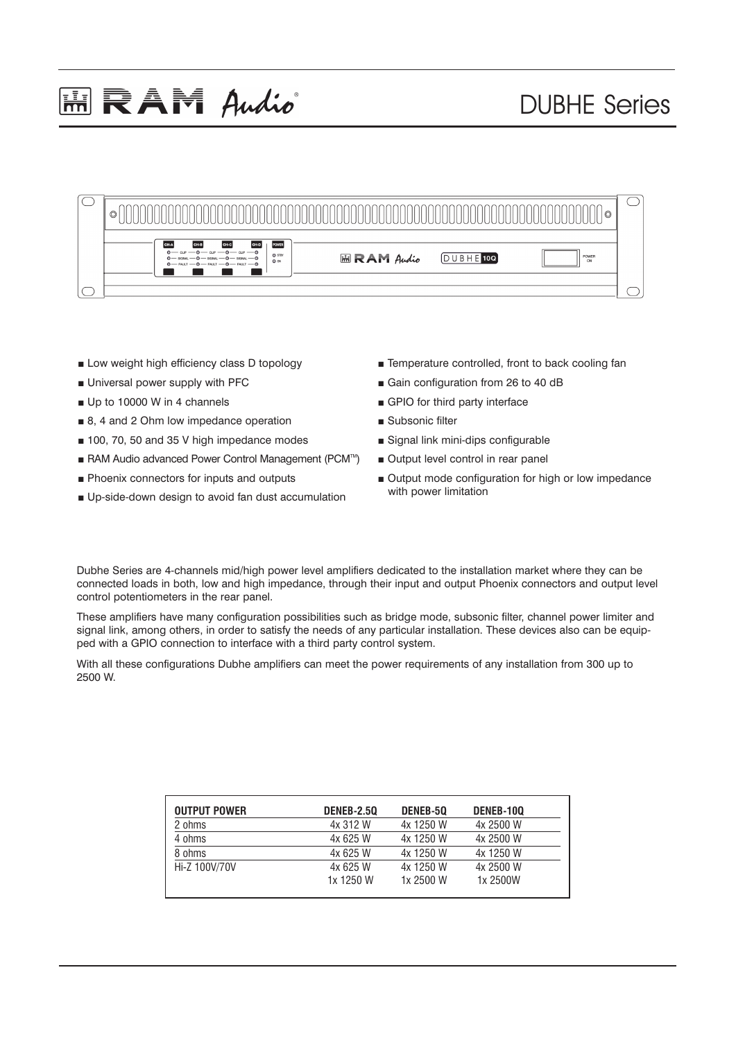## **ERAM Audio**

## DUBHE Series



- Low weight high efficiency class D topology
- Universal power supply with PFC
- Up to 10000 W in 4 channels
- 8, 4 and 2 Ohm low impedance operation
- 100, 70, 50 and 35 V high impedance modes
- RAM Audio advanced Power Control Management (PCM™)
- Phoenix connectors for inputs and outputs
- Up-side-down design to avoid fan dust accumulation
- Temperature controlled, front to back cooling fan
- Gain configuration from 26 to 40 dB
- GPIO for third party interface
- Subsonic filter
- Signal link mini-dips configurable
- Output level control in rear panel
- Output mode configuration for high or low impedance with power limitation

Dubhe Series are 4-channels mid/high power level amplifiers dedicated to the installation market where they can be connected loads in both, low and high impedance, through their input and output Phoenix connectors and output level control potentiometers in the rear panel.

These amplifiers have many configuration possibilities such as bridge mode, subsonic filter, channel power limiter and signal link, among others, in order to satisfy the needs of any particular installation. These devices also can be equipped with a GPIO connection to interface with a third party control system.

With all these configurations Dubhe amplifiers can meet the power requirements of any installation from 300 up to 2500 W.

| <b>OUTPUT POWER</b> | <b>DENEB-2.50</b>     | DENEB-50               | DENEB-100             |
|---------------------|-----------------------|------------------------|-----------------------|
| 2 ohms              | 4x 312 W              | 4x 1250 W              | 4x 2500 W             |
| 4 ohms              | 4x 625 W              | 4x 1250 W              | 4x 2500 W             |
| 8 ohms              | 4x 625 W              | 4x 1250 W              | 4x 1250 W             |
| Hi-Z 100V/70V       | 4x 625 W<br>1x 1250 W | 4x 1250 W<br>1x 2500 W | 4x 2500 W<br>1x 2500W |